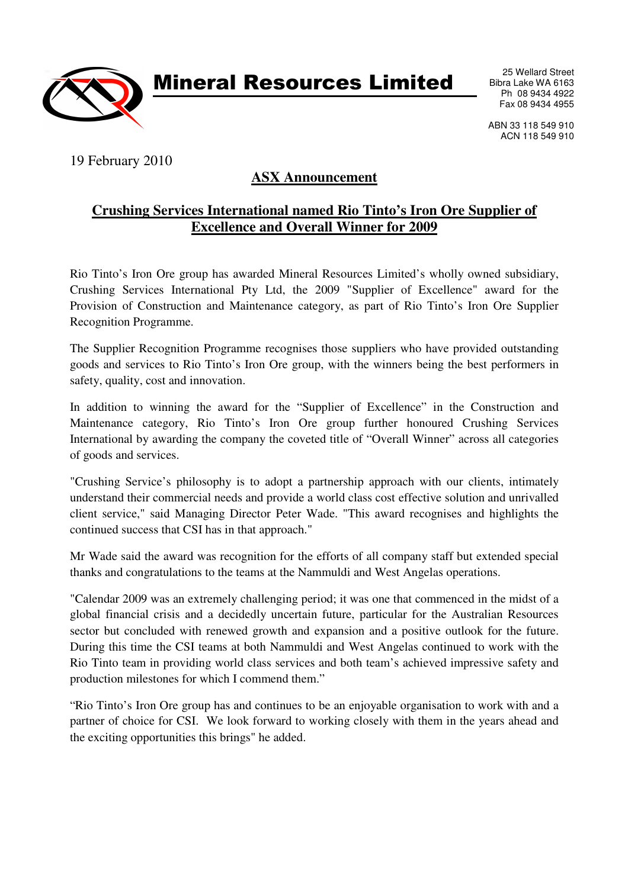

Mineral Resources Limited

25 Wellard Street Bibra Lake WA 6163 Ph 08 9434 4922 Fax 08 9434 4955

ABN 33 118 549 910 ACN 118 549 910

19 February 2010

## **ASX Announcement**

## **Crushing Services International named Rio Tinto's Iron Ore Supplier of Excellence and Overall Winner for 2009**

Rio Tinto's Iron Ore group has awarded Mineral Resources Limited's wholly owned subsidiary, Crushing Services International Pty Ltd, the 2009 "Supplier of Excellence" award for the Provision of Construction and Maintenance category, as part of Rio Tinto's Iron Ore Supplier Recognition Programme.

The Supplier Recognition Programme recognises those suppliers who have provided outstanding goods and services to Rio Tinto's Iron Ore group, with the winners being the best performers in safety, quality, cost and innovation.

In addition to winning the award for the "Supplier of Excellence" in the Construction and Maintenance category, Rio Tinto's Iron Ore group further honoured Crushing Services International by awarding the company the coveted title of "Overall Winner" across all categories of goods and services.

"Crushing Service's philosophy is to adopt a partnership approach with our clients, intimately understand their commercial needs and provide a world class cost effective solution and unrivalled client service," said Managing Director Peter Wade. "This award recognises and highlights the continued success that CSI has in that approach."

Mr Wade said the award was recognition for the efforts of all company staff but extended special thanks and congratulations to the teams at the Nammuldi and West Angelas operations.

"Calendar 2009 was an extremely challenging period; it was one that commenced in the midst of a global financial crisis and a decidedly uncertain future, particular for the Australian Resources sector but concluded with renewed growth and expansion and a positive outlook for the future. During this time the CSI teams at both Nammuldi and West Angelas continued to work with the Rio Tinto team in providing world class services and both team's achieved impressive safety and production milestones for which I commend them."

"Rio Tinto's Iron Ore group has and continues to be an enjoyable organisation to work with and a partner of choice for CSI. We look forward to working closely with them in the years ahead and the exciting opportunities this brings" he added.